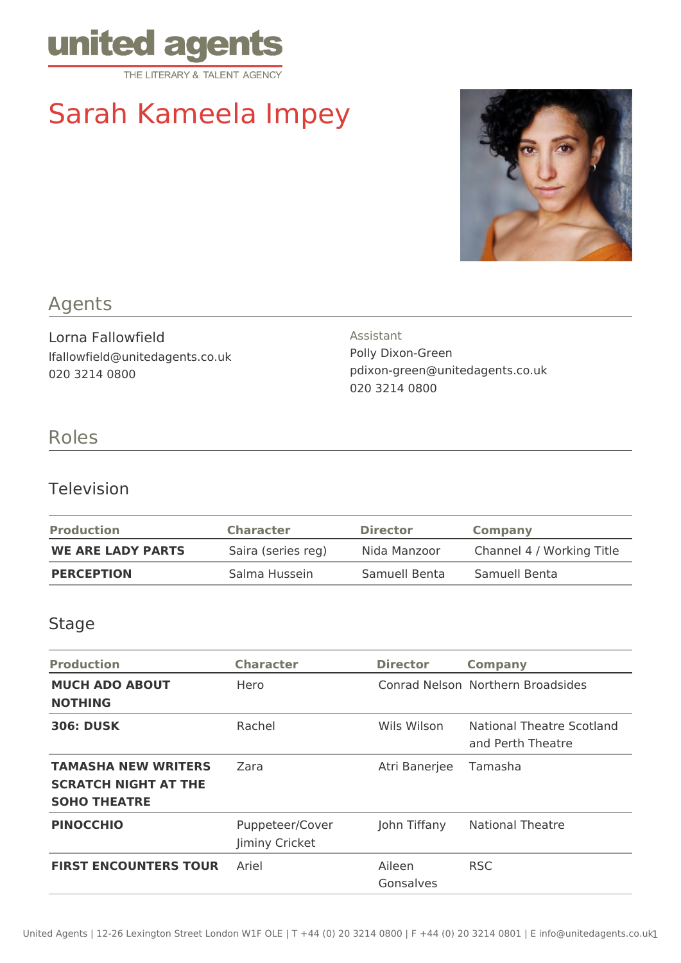

# Sarah Kameela Impey



# Agents

Lorna Fallowfield lfallowfield@unitedagents.co.uk 020 3214 0800

Assistant Polly Dixon-Green pdixon-green@unitedagents.co.uk 020 3214 0800

# Roles

#### Television

| <b>Production</b>        | <b>Character</b>   | <b>Director</b> | <b>Company</b>            |
|--------------------------|--------------------|-----------------|---------------------------|
| <b>WE ARE LADY PARTS</b> | Saira (series reg) | Nida Manzoor    | Channel 4 / Working Title |
| <b>PERCEPTION</b>        | Salma Hussein      | Samuell Benta   | Samuell Benta             |

#### Stage

| <b>Production</b>                                                                | <b>Character</b>                  | <b>Director</b>     | <b>Company</b>                                 |
|----------------------------------------------------------------------------------|-----------------------------------|---------------------|------------------------------------------------|
| <b>MUCH ADO ABOUT</b><br><b>NOTHING</b>                                          | Hero                              |                     | Conrad Nelson, Northern Broadsides             |
| <b>306: DUSK</b>                                                                 | Rachel                            | Wils Wilson         | National Theatre Scotland<br>and Perth Theatre |
| <b>TAMASHA NEW WRITERS</b><br><b>SCRATCH NIGHT AT THE</b><br><b>SOHO THEATRE</b> | Zara                              | Atri Banerjee       | Tamasha                                        |
| <b>PINOCCHIO</b>                                                                 | Puppeteer/Cover<br>Jiminy Cricket | John Tiffany        | <b>National Theatre</b>                        |
| <b>FIRST ENCOUNTERS TOUR</b>                                                     | Ariel                             | Aileen<br>Gonsalves | <b>RSC</b>                                     |